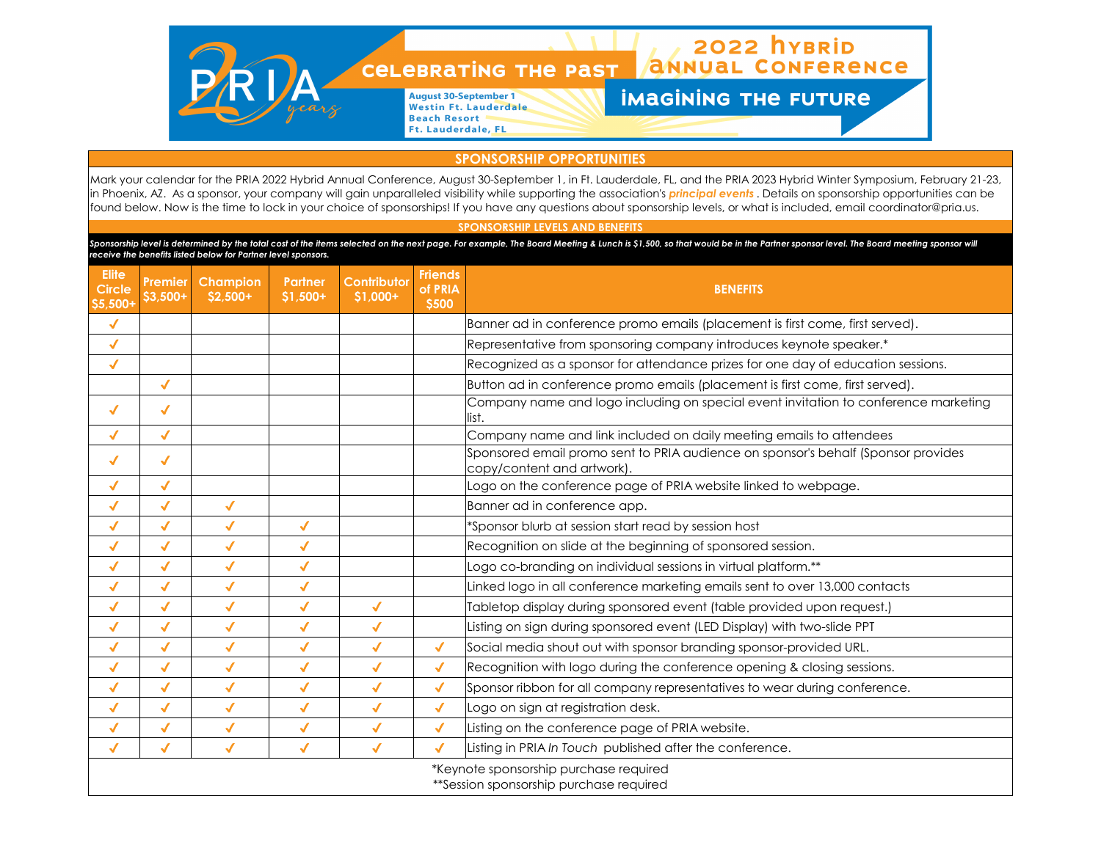

**August 30-September 1 Westin Ft. Lauderdale Beach Resort** Ft. Lauderdale, FL

Sponsorship level is determined by the total cost of the items selected on the next page. For example, The Board Meeting & Lunch is \$1,500, so that would be in the Partner sponsor level. The Board meeting sponsor will *receive the benefits listed below for Partner level sponsors.*

| <b>Elite</b><br><b>Circle</b><br>$$5,500+$ | <b>Premier</b><br>$$3,500+$ | <b>Champion</b><br>$$2,500+$ | <b>Partner</b><br>$$1,500+$ | <b>Contributor</b><br>$$1,000+$ | <b>Friends</b><br>of PRIA<br><b>\$500</b> |                                               |
|--------------------------------------------|-----------------------------|------------------------------|-----------------------------|---------------------------------|-------------------------------------------|-----------------------------------------------|
|                                            |                             |                              |                             |                                 |                                           | Banner ad in c                                |
|                                            |                             |                              |                             |                                 |                                           | Representative                                |
|                                            |                             |                              |                             |                                 |                                           | Recognized as                                 |
|                                            |                             |                              |                             |                                 |                                           | Button ad in co                               |
|                                            |                             |                              |                             |                                 |                                           | Company nan<br>list.                          |
|                                            |                             |                              |                             |                                 |                                           | Company nan                                   |
|                                            |                             |                              |                             |                                 |                                           | Sponsored em<br>copy/content                  |
|                                            |                             |                              |                             |                                 |                                           | Logo on the co                                |
|                                            |                             |                              |                             |                                 |                                           | Banner ad in c                                |
|                                            |                             |                              |                             |                                 |                                           | *Sponsor blurb                                |
|                                            |                             |                              |                             |                                 |                                           | Recognition of                                |
|                                            |                             |                              |                             |                                 |                                           | Logo co-brand                                 |
|                                            |                             |                              |                             |                                 |                                           | Linked logo in                                |
|                                            |                             |                              |                             |                                 |                                           | Tabletop disple                               |
|                                            |                             |                              |                             |                                 |                                           | Listing on sign                               |
|                                            |                             |                              |                             |                                 |                                           | Social media s                                |
|                                            |                             |                              |                             |                                 | $\checkmark$                              | <b>Recognition w</b>                          |
|                                            |                             |                              |                             |                                 |                                           | Sponsor ribbor                                |
|                                            |                             |                              |                             |                                 |                                           | Logo on sign c                                |
|                                            |                             |                              |                             |                                 |                                           | Listing on the a                              |
|                                            |                             |                              |                             |                                 |                                           | Listing in PRIA I                             |
|                                            |                             |                              |                             |                                 |                                           | *Keynote sponsorship<br>**Session sponsorship |

# 2022 hybrid CELEBRATING THE PAST ANNUAL CONFERENCE

## **IMAGINING THE FUTURE**

### **SPONSORSHIP OPPORTUNITIES**

Mark your calendar for the PRIA 2022 Hybrid Annual Conference, August 30-September 1, in Ft. Lauderdale, FL, and the PRIA 2023 Hybrid Winter Symposium, February 21-23, in Phoenix, AZ. As a sponsor, your company will gain unparalleled visibility while supporting the association's *principal events* . Details on sponsorship opportunities can be found below. Now is the time to lock in your choice of sponsorships! If you have any questions about sponsorship levels, or what is included, email coordinator@pria.us.

#### **SPONSORSHIP LEVELS AND BENEFITS**

#### **BENEFITS**

conference promo emails (placement is first come, first served).

e from sponsoring company introduces keynote speaker.\*

s a sponsor for attendance prizes for one day of education sessions.

onference promo emails (placement is first come, first served).

me and logo including on special event invitation to conference marketing

me and link included on daily meeting emails to attendees

atior promo sent to PRIA audience on sponsor's behalf (Sponsor provides cond artwork).

onference page of PRIA website linked to webpage.

conference app.

at session start read by session host

In slide at the beginning of sponsored session.

ding on individual sessions in virtual platform.\*\*

all conference marketing emails sent to over 13,000 contacts

ay during sponsored event (table provided upon request.)

during sponsored event (LED Display) with two-slide PPT

shout out with sponsor branding sponsor-provided URL.

vith logo during the conference opening & closing sessions.

n for all company representatives to wear during conference.

at registration desk.

conference page of PRIA website.

In Touch published after the conference.

p purchase required

p purchase required